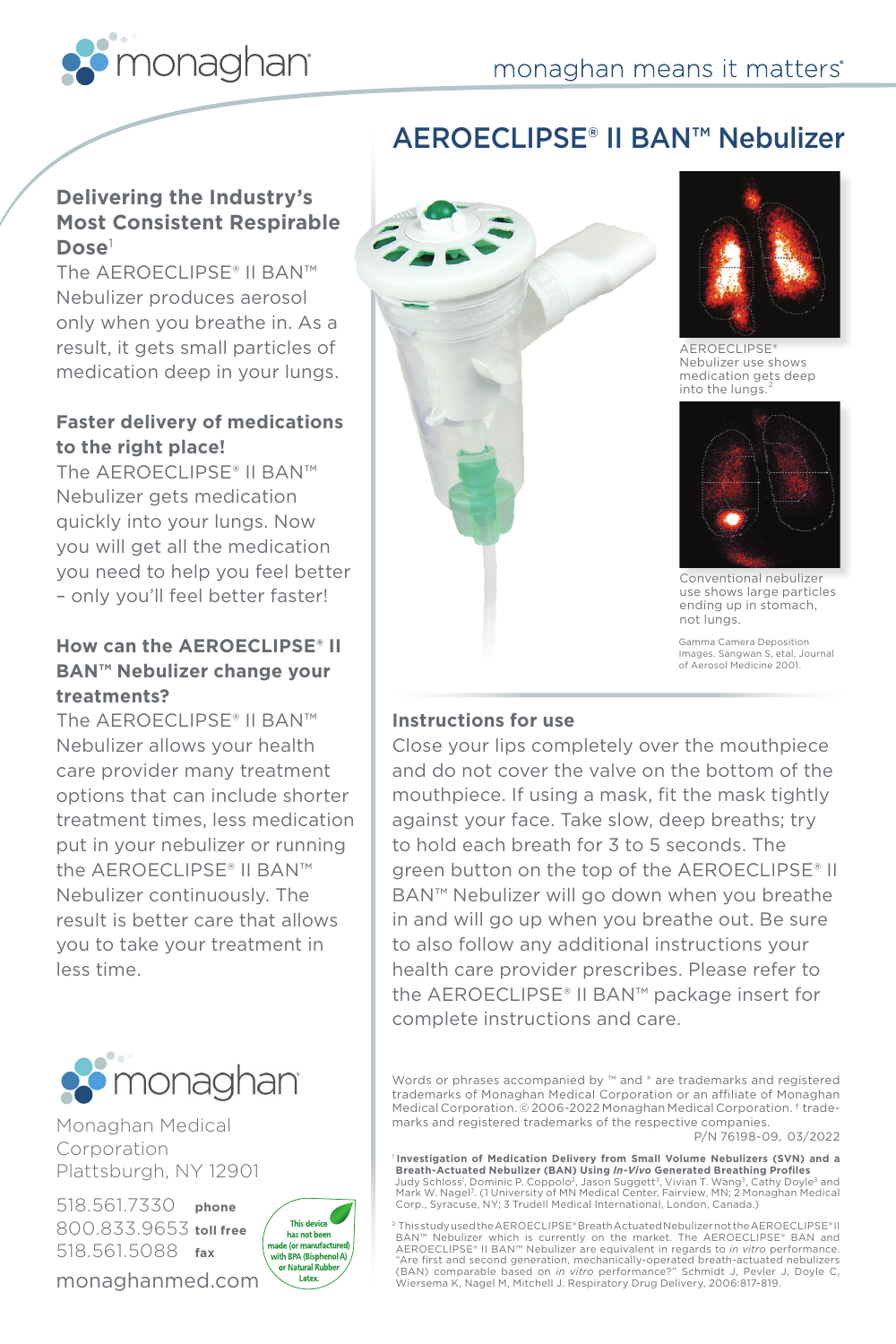

# **Delivering the Industry's Most Consistent Respirable Dose**<sup>1</sup>

The AEROECLIPSE® II BAN™ Nebulizer produces aerosol only when you breathe in. As a result, it gets small particles of medication deep in your lungs.

# **Faster delivery of medications to the right place!**

The AEROECLIPSE® II BAN™ Nebulizer gets medication quickly into your lungs. Now you will get all the medication you need to help you feel better – only you'll feel better faster!

## **How can the AEROECLIPSE® II BAN™ Nebulizer change your treatments?**

The AEROECLIPSE® II BAN™ Nebulizer allows your health care provider many treatment options that can include shorter treatment times, less medication put in your nebulizer or running the AEROECLIPSE® II BAN™ Nebulizer continuously. The result is better care that allows you to take your treatment in less time.



Monaghan Medical Corporation Plattsburgh, NY 12901

518.561.7330 **phone** 800.833.9653 **toll free** 518.561.5088 **fax**

monaghanmed.com



# AEROECLIPSE® II BAN™ Nebulizer





AEROECLIPSE® Nebulizer use shows medication gets deep into the lungs



Conventional nebulizer use shows large particles ending up in stomach, not lungs.

Gamma Camera Deposition Images. Sangwan S, etal, Journal of Aerosol Medicine 2001.

## **Instructions for use**

Close your lips completely over the mouthpiece and do not cover the valve on the bottom of the mouthpiece. If using a mask, fit the mask tightly against your face. Take slow, deep breaths; try to hold each breath for 3 to 5 seconds. The green button on the top of the AEROECLIPSE® II BAN™ Nebulizer will go down when you breathe in and will go up when you breathe out. Be sure to also follow any additional instructions your health care provider prescribes. Please refer to the AEROECLIPSE® II BAN™ package insert for complete instructions and care.

Words or phrases accompanied by ™ and ® are trademarks and registered trademarks of Monaghan Medical Corporation or an affiliate of Monaghan Medical Corporation. © 2006-2022 Monaghan Medical Corporation. † trademarks and registered trademarks of the respective companies.

P/N 76198-09, 03/2022

<sup>1</sup> **Investigation of Medication Delivery from Small Volume Nebulizers (SVN) and a Breath-Actuated Nebulizer (BAN) Using** *In-Vivo* **Generated Breathing Profiles** Judy Schloss', Dominic P. Coppolo<sup>2</sup>, Jason Suggett<sup>3</sup>, Vivian T. Wang<sup>3</sup>, Cathy Doyle<sup>3</sup> and<br>Mark W. Nagel<sup>3</sup>. (1 University of MN Medical Center, Fairview, MN; 2 Monaghan Medical Corp., Syracuse, NY; 3 Trudell Medical International, London, Canada.)

2 This study used the AEROECLIPSE® Breath Actuated Nebulizer not the AEROECLIPSE® II BAN™ Nebulizer which is currently on the market. The AEROECLIPSE® BAN and<br>AEROECLIPSE® II BAN™ Nebulizer are equivalent in regards to *in vitro* performance. "Are first and second generation, mechanically-operated breath-actuated nebulizers<br>(BAN) comparable based on *in vitro* performance?" Schmidt J, Pevler J, Doyle C,<br>Wiersema K, Nagel M, Mitchell J. Respiratory Drug Delivery